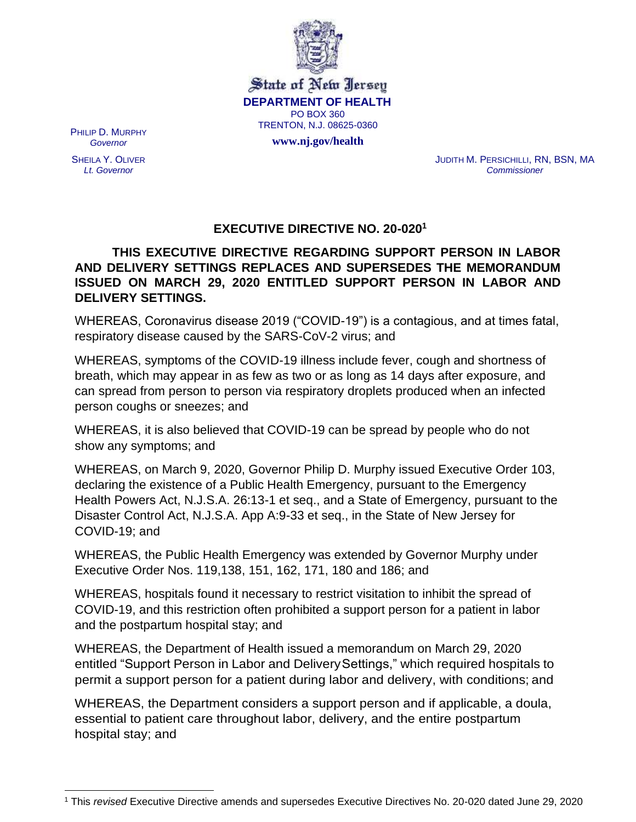

State of New Jersey **DEPARTMENT OF HEALTH** PO BOX 360 TRENTON, N.J. 08625-0360

**[www.nj.gov/health](http://www.nj.gov/health)**

PHILIP D. MURPHY *Governor*

SHEILA Y. OLIVER *Lt. Governor*

JUDITH M. PERSICHILLI, RN, BSN, MA *Commissioner*

## **EXECUTIVE DIRECTIVE NO. 20-020<sup>1</sup>**

**THIS EXECUTIVE DIRECTIVE REGARDING SUPPORT PERSON IN LABOR AND DELIVERY SETTINGS REPLACES AND SUPERSEDES THE MEMORANDUM ISSUED ON MARCH 29, 2020 ENTITLED SUPPORT PERSON IN LABOR AND DELIVERY SETTINGS.**

WHEREAS, Coronavirus disease 2019 ("COVID-19") is a contagious, and at times fatal, respiratory disease caused by the SARS-CoV-2 virus; and

WHEREAS, symptoms of the COVID-19 illness include fever, cough and shortness of breath, which may appear in as few as two or as long as 14 days after exposure, and can spread from person to person via respiratory droplets produced when an infected person coughs or sneezes; and

WHEREAS, it is also believed that COVID-19 can be spread by people who do not show any symptoms; and

WHEREAS, on March 9, 2020, Governor Philip D. Murphy issued Executive Order 103, declaring the existence of a Public Health Emergency, pursuant to the Emergency Health Powers Act, N.J.S.A. 26:13-1 et seq., and a State of Emergency, pursuant to the Disaster Control Act, N.J.S.A. App A:9-33 et seq., in the State of New Jersey for COVID-19; and

WHEREAS, the Public Health Emergency was extended by Governor Murphy under Executive Order Nos. 119,138, 151, 162, 171, 180 and 186; and

WHEREAS, hospitals found it necessary to restrict visitation to inhibit the spread of COVID-19, and this restriction often prohibited a support person for a patient in labor and the postpartum hospital stay; and

WHEREAS, the Department of Health issued a memorandum on March 29, 2020 entitled "Support Person in Labor and DeliverySettings," which required hospitals to permit a support person for a patient during labor and delivery, with conditions; and

WHEREAS, the Department considers a support person and if applicable, a doula, essential to patient care throughout labor, delivery, and the entire postpartum hospital stay; and

<sup>1</sup> This *revised* Executive Directive amends and supersedes Executive Directives No. 20-020 dated June 29, 2020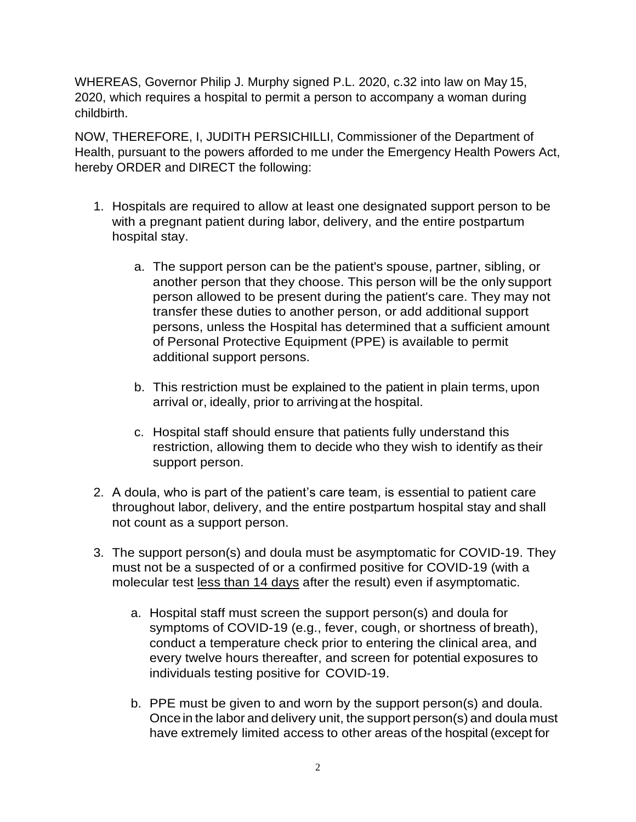WHEREAS, Governor Philip J. Murphy signed P.L. 2020, c.32 into law on May 15, 2020, which requires a hospital to permit a person to accompany a woman during childbirth.

NOW, THEREFORE, I, JUDITH PERSICHILLI, Commissioner of the Department of Health, pursuant to the powers afforded to me under the Emergency Health Powers Act, hereby ORDER and DIRECT the following:

- 1. Hospitals are required to allow at least one designated support person to be with a pregnant patient during labor, delivery, and the entire postpartum hospital stay.
	- a. The support person can be the patient's spouse, partner, sibling, or another person that they choose. This person will be the only support person allowed to be present during the patient's care. They may not transfer these duties to another person, or add additional support persons, unless the Hospital has determined that a sufficient amount of Personal Protective Equipment (PPE) is available to permit additional support persons.
	- b. This restriction must be explained to the patient in plain terms, upon arrival or, ideally, prior to arrivingat the hospital.
	- c. Hospital staff should ensure that patients fully understand this restriction, allowing them to decide who they wish to identify as their support person.
- 2. A doula, who is part of the patient's care team, is essential to patient care throughout labor, delivery, and the entire postpartum hospital stay and shall not count as a support person.
- 3. The support person(s) and doula must be asymptomatic for COVID-19. They must not be a suspected of or a confirmed positive for COVID-19 (with a molecular test less than 14 days after the result) even if asymptomatic.
	- a. Hospital staff must screen the support person(s) and doula for symptoms of COVID-19 (e.g., fever, cough, or shortness of breath), conduct a temperature check prior to entering the clinical area, and every twelve hours thereafter, and screen for potential exposures to individuals testing positive for COVID-19.
	- b. PPE must be given to and worn by the support person(s) and doula. Once in the labor and delivery unit, the support person(s) and doula must have extremely limited access to other areas of the hospital (except for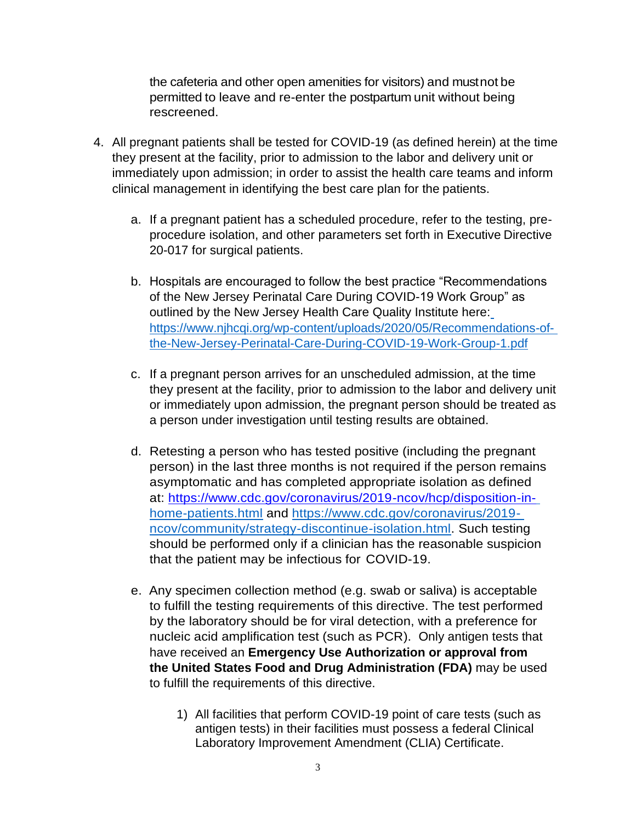the cafeteria and other open amenities for visitors) and mustnot be permitted to leave and re-enter the postpartum unit without being rescreened.

- 4. All pregnant patients shall be tested for COVID-19 (as defined herein) at the time they present at the facility, prior to admission to the labor and delivery unit or immediately upon admission; in order to assist the health care teams and inform clinical management in identifying the best care plan for the patients.
	- a. If a pregnant patient has a scheduled procedure, refer to the testing, preprocedure isolation, and other parameters set forth in Executive Directive 20-017 for surgical patients.
	- b. Hospitals are encouraged to follow the best practice "Recommendations of the New Jersey Perinatal Care During COVID-19 Work Group" as outlined by the New Jersey Health Care Quality Institute here[:](https://www.njhcqi.org/wp-content/uploads/2020/05/Recommendations-of-the-New-Jersey-Perinatal-Care-During-COVID-19-Work-Group-1.pdf) [https://www.njhcqi.org/wp-content/uploads/2020/05/Recommendations-of](https://www.njhcqi.org/wp-content/uploads/2020/05/Recommendations-of-the-New-Jersey-Perinatal-Care-During-COVID-19-Work-Group-1.pdf)[the-New-Jersey-Perinatal-Care-During-COVID-19-Work-Group-1.pdf](https://www.njhcqi.org/wp-content/uploads/2020/05/Recommendations-of-the-New-Jersey-Perinatal-Care-During-COVID-19-Work-Group-1.pdf)
	- c. If a pregnant person arrives for an unscheduled admission, at the time they present at the facility, prior to admission to the labor and delivery unit or immediately upon admission, the pregnant person should be treated as a person under investigation until testing results are obtained.
	- d. Retesting a person who has tested positive (including the pregnant person) in the last three months is not required if the person remains asymptomatic and has completed appropriate isolation as defined at: [https://www.cdc.gov/coronavirus/2019-ncov/hcp/disposition-in](https://www.cdc.gov/coronavirus/2019-ncov/hcp/disposition-in-)[home-patients.html](https://www.cdc.gov/coronavirus/2019-ncov/hcp/disposition-in-home-patients.html) and [https://www.cdc.gov/coronavirus/2019](https://www.cdc.gov/coronavirus/2019-ncov/community/strategy-discontinue-isolation.html) [ncov/community/strategy-discontinue-isolation.html.](https://www.cdc.gov/coronavirus/2019-ncov/community/strategy-discontinue-isolation.html) Such testing should be performed only if a clinician has the reasonable suspicion that the patient may be infectious for COVID-19.
	- e. Any specimen collection method (e.g. swab or saliva) is acceptable to fulfill the testing requirements of this directive. The test performed by the laboratory should be for viral detection, with a preference for nucleic acid amplification test (such as PCR). Only antigen tests that have received an **Emergency Use Authorization or approval from the United States Food and Drug Administration (FDA)** may be used to fulfill the requirements of this directive.
		- 1) All facilities that perform COVID-19 point of care tests (such as antigen tests) in their facilities must possess a federal Clinical Laboratory Improvement Amendment (CLIA) Certificate.